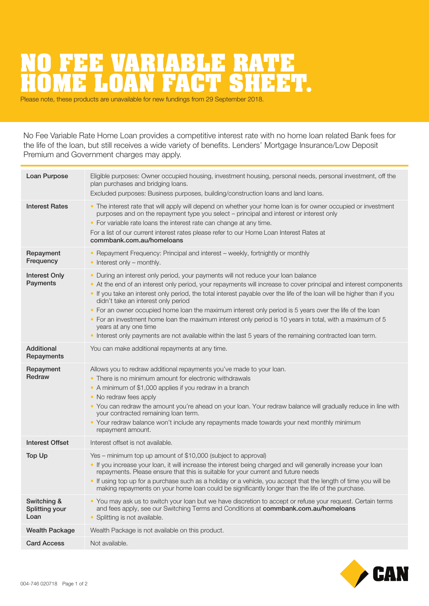## **NRIABLE RATE<br>NN FACT QUEET** HOME LOAN FACT SHEET.

No Fee Variable Rate Home Loan provides a competitive interest rate with no home loan related Bank fees for the life of the loan, but still receives a wide variety of benefits. Lenders' Mortgage Insurance/Low Deposit Premium and Government charges may apply.

| Eligible purposes: Owner occupied housing, investment housing, personal needs, personal investment, off the<br>plan purchases and bridging loans.<br>Excluded purposes: Business purposes, building/construction loans and land loans.                                                                                                                                                                                                                                                                                                                                                                                                                                                                                                          | Loan Purpose                          |
|-------------------------------------------------------------------------------------------------------------------------------------------------------------------------------------------------------------------------------------------------------------------------------------------------------------------------------------------------------------------------------------------------------------------------------------------------------------------------------------------------------------------------------------------------------------------------------------------------------------------------------------------------------------------------------------------------------------------------------------------------|---------------------------------------|
| • The interest rate that will apply will depend on whether your home loan is for owner occupied or investment<br>purposes and on the repayment type you select - principal and interest or interest only<br>• For variable rate loans the interest rate can change at any time.<br>For a list of our current interest rates please refer to our Home Loan Interest Rates at<br>commbank.com.au/homeloans                                                                                                                                                                                                                                                                                                                                        | <b>Interest Rates</b>                 |
| • Repayment Frequency: Principal and interest - weekly, fortnightly or monthly<br>$\bullet$ Interest only – monthly.                                                                                                                                                                                                                                                                                                                                                                                                                                                                                                                                                                                                                            | Repayment<br>Frequency                |
| During an interest only period, your payments will not reduce your loan balance<br>$\bullet$<br>• At the end of an interest only period, your repayments will increase to cover principal and interest components<br>. If you take an interest only period, the total interest payable over the life of the loan will be higher than if you<br>didn't take an interest only period<br>• For an owner occupied home loan the maximum interest only period is 5 years over the life of the loan<br>• For an investment home loan the maximum interest only period is 10 years in total, with a maximum of 5<br>years at any one time<br>. Interest only payments are not available within the last 5 years of the remaining contracted loan term. | Interest Only<br>Payments             |
| You can make additional repayments at any time.                                                                                                                                                                                                                                                                                                                                                                                                                                                                                                                                                                                                                                                                                                 | Additional<br>Repayments              |
| Allows you to redraw additional repayments you've made to your loan.<br>• There is no minimum amount for electronic withdrawals<br>• A minimum of \$1,000 applies if you redraw in a branch<br>• No redraw fees apply<br>. You can redraw the amount you're ahead on your loan. Your redraw balance will gradually reduce in line with<br>your contracted remaining loan term.<br>• Your redraw balance won't include any repayments made towards your next monthly minimum<br>repayment amount.                                                                                                                                                                                                                                                | Repayment<br>Redraw                   |
| Interest offset is not available.                                                                                                                                                                                                                                                                                                                                                                                                                                                                                                                                                                                                                                                                                                               | Interest Offset                       |
| Yes - minimum top up amount of \$10,000 (subject to approval)<br>. If you increase your loan, it will increase the interest being charged and will generally increase your loan<br>repayments. Please ensure that this is suitable for your current and future needs<br>• If using top up for a purchase such as a holiday or a vehicle, you accept that the length of time you will be<br>making repayments on your home loan could be significantly longer than the life of the purchase.                                                                                                                                                                                                                                                     | <b>Top Up</b>                         |
| . You may ask us to switch your loan but we have discretion to accept or refuse your request. Certain terms<br>and fees apply, see our Switching Terms and Conditions at commbank.com.au/homeloans<br>• Splitting is not available.                                                                                                                                                                                                                                                                                                                                                                                                                                                                                                             | Switching &<br>Splitting your<br>Loan |
| Wealth Package is not available on this product.                                                                                                                                                                                                                                                                                                                                                                                                                                                                                                                                                                                                                                                                                                | <b>Wealth Package</b>                 |
| Not available.                                                                                                                                                                                                                                                                                                                                                                                                                                                                                                                                                                                                                                                                                                                                  | <b>Card Access</b>                    |